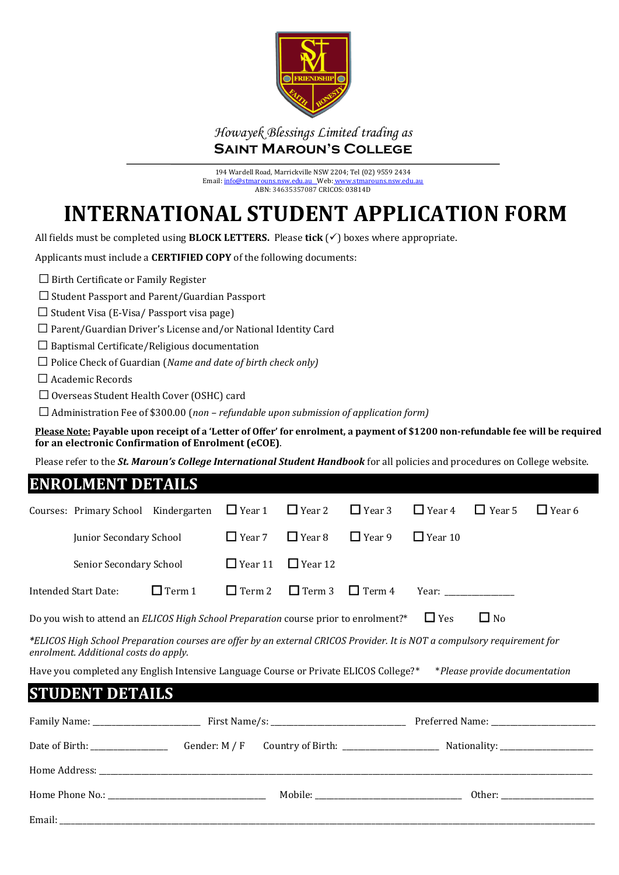

### *Howayek Blessings Limited trading as* **Saint Maroun's College**

194 Wardell Road, Marrickville NSW 2204; Tel (02) 9559 2434 Email[: info@stmarouns.nsw.edu.au](mailto:info@stmarouns.nsw.edu.au) Web: www.stmarouns ABN: 34635357087 CRICOS: 03814D

# **INTERNATIONAL STUDENT APPLICATION FORM**

All fields must be completed using **BLOCK LETTERS.** Please **tick** (✓) boxes where appropriate.

Applicants must include a **CERTIFIED COPY** of the following documents:

 $\Box$  Birth Certificate or Family Register

☐ Student Passport and Parent/Guardian Passport

 $\Box$  Student Visa (E-Visa/ Passport visa page)

☐ Parent/Guardian Driver's License and/or National Identity Card

 $\Box$  Baptismal Certificate/Religious documentation

☐ Police Check of Guardian (*Name and date of birth check only)*

☐ Academic Records

☐ Overseas Student Health Cover (OSHC) card

☐ Administration Fee of \$300.00 (*non – refundable upon submission of application form)*

**Please Note: Payable upon receipt of a 'Letter of Offer' for enrolment, a payment of \$1200 non-refundable fee will be required for an electronic Confirmation of Enrolment (eCOE)**.

Please refer to the *St. Maroun's College International Student Handbook* for all policies and procedures on College website.

#### **ENROLMENT DETAILS**

| Courses: Primary School Kindergarten                                                                                                                              |               | $\Box$ Year 1  | $\Box$ Year 2  | $\Box$ Year 3 | $\Box$ Year 4  | $\Box$ Year 5                 | $\Box$ Year 6 |
|-------------------------------------------------------------------------------------------------------------------------------------------------------------------|---------------|----------------|----------------|---------------|----------------|-------------------------------|---------------|
| Junior Secondary School                                                                                                                                           |               | $\Box$ Year 7  | $\Box$ Year 8  | $\Box$ Year 9 | $\Box$ Year 10 |                               |               |
| Senior Secondary School                                                                                                                                           |               | $\Box$ Year 11 | $\Box$ Year 12 |               |                |                               |               |
| <b>Intended Start Date:</b>                                                                                                                                       | $\Box$ Term 1 | $\Box$ Term 2  | $\Box$ Term 3  | $\Box$ Term 4 |                |                               |               |
| Do you wish to attend an ELICOS High School Preparation course prior to enrolment?*                                                                               |               |                |                |               | $\Box$ Yes     | $\Box$ No                     |               |
| *ELICOS High School Preparation courses are offer by an external CRICOS Provider. It is NOT a compulsory requirement for<br>enrolment. Additional costs do apply. |               |                |                |               |                |                               |               |
| Have you completed any English Intensive Language Course or Private ELICOS College?*                                                                              |               |                |                |               |                | *Please provide documentation |               |
| <b>STUDENT DETAILS</b>                                                                                                                                            |               |                |                |               |                |                               |               |
|                                                                                                                                                                   |               |                |                |               |                |                               |               |
| Date of Birth: Counter: M / F Country of Birth: Nationality: Nationality:                                                                                         |               |                |                |               |                |                               |               |
|                                                                                                                                                                   |               |                |                |               |                |                               |               |
|                                                                                                                                                                   |               |                |                |               |                |                               |               |
|                                                                                                                                                                   |               |                |                |               |                |                               |               |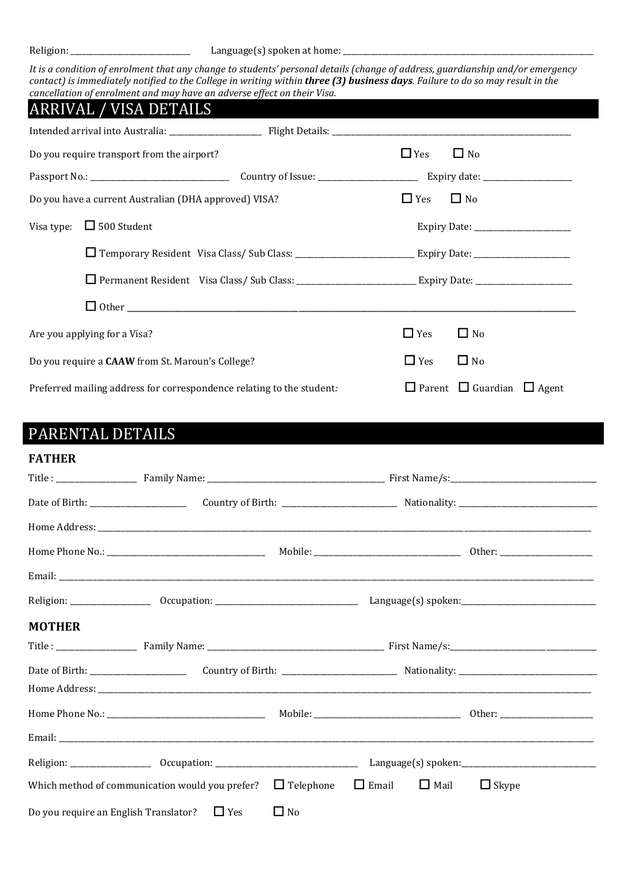Religion: \_\_\_\_\_\_\_\_\_\_\_\_\_\_\_\_\_\_\_\_\_\_\_\_\_\_\_\_\_\_\_ Language(s) spoken at home: \_\_\_\_\_\_\_\_\_\_\_\_\_\_\_\_\_\_\_\_\_\_\_\_\_\_\_\_\_\_\_\_\_\_\_\_\_\_\_\_\_\_\_\_\_\_\_\_\_\_\_\_\_\_\_\_\_\_\_\_\_\_\_\_\_

*It is a condition of enrolment that any change to students' personal details (change of address, guardianship and/or emergency contact) is immediately notified to the College in writing within three (3) business days. Failure to do so may result in the cancellation of enrolment and may have an adverse effect on their Visa.*

|                                                                       | ARRIVAL / VISA DETAILS                                |            |                                            |  |
|-----------------------------------------------------------------------|-------------------------------------------------------|------------|--------------------------------------------|--|
|                                                                       |                                                       |            |                                            |  |
| Do you require transport from the airport?                            |                                                       |            | $\Box$ No                                  |  |
|                                                                       |                                                       |            |                                            |  |
|                                                                       | Do you have a current Australian (DHA approved) VISA? | $\Box$ Yes | $\Box$ No                                  |  |
| Visa type: $\Box$ 500 Student                                         |                                                       |            |                                            |  |
|                                                                       |                                                       |            |                                            |  |
|                                                                       |                                                       |            |                                            |  |
|                                                                       |                                                       |            |                                            |  |
| Are you applying for a Visa?                                          |                                                       | $\Box$ Yes | $\Box$ No                                  |  |
| Do you require a CAAW from St. Maroun's College?                      |                                                       | $\Box$ Yes | $\Box$ No                                  |  |
| Preferred mailing address for correspondence relating to the student: |                                                       |            | $\Box$ Parent $\Box$ Guardian $\Box$ Agent |  |
|                                                                       |                                                       |            |                                            |  |

## PARENTAL DETAILS

| <b>FATHER</b> |                                                                                           |           |  |              |  |
|---------------|-------------------------------------------------------------------------------------------|-----------|--|--------------|--|
|               |                                                                                           |           |  |              |  |
|               |                                                                                           |           |  |              |  |
|               |                                                                                           |           |  |              |  |
|               |                                                                                           |           |  |              |  |
|               |                                                                                           |           |  |              |  |
|               |                                                                                           |           |  |              |  |
| <b>MOTHER</b> |                                                                                           |           |  |              |  |
|               |                                                                                           |           |  |              |  |
|               |                                                                                           |           |  |              |  |
|               |                                                                                           |           |  |              |  |
|               |                                                                                           |           |  |              |  |
|               |                                                                                           |           |  |              |  |
|               |                                                                                           |           |  |              |  |
|               | Which method of communication would you prefer? $\Box$ Telephone $\Box$ Email $\Box$ Mail |           |  | $\Box$ Skype |  |
|               | Do you require an English Translator? $\Box$ Yes                                          | $\Box$ No |  |              |  |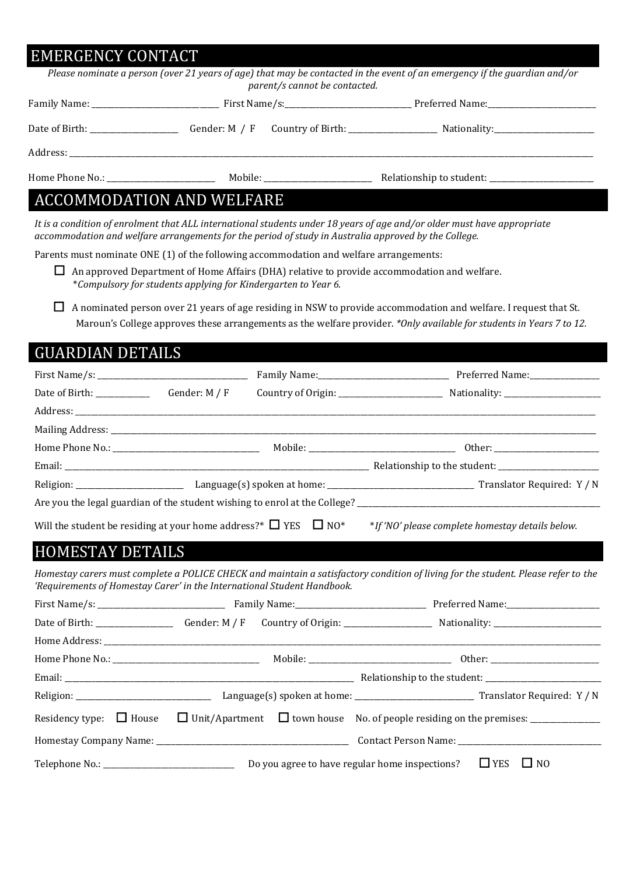### EMERGENCY CONTACT

| parent/s cannot be contacted.                                                                                           | Please nominate a person (over 21 years of age) that may be contacted in the event of an emergency if the guardian and/or |
|-------------------------------------------------------------------------------------------------------------------------|---------------------------------------------------------------------------------------------------------------------------|
|                                                                                                                         |                                                                                                                           |
|                                                                                                                         |                                                                                                                           |
|                                                                                                                         |                                                                                                                           |
|                                                                                                                         |                                                                                                                           |
| <b>ACCOMMODATION AND WELFARE</b>                                                                                        |                                                                                                                           |
| It is a condition of enrolment that ALL international students under 18 years of age and/or older must have appropriate |                                                                                                                           |

*accommodation and welfare arrangements for the period of study in Australia approved by the College.* 

Parents must nominate ONE (1) of the following accommodation and welfare arrangements:

 $\Box$  An approved Department of Home Affairs (DHA) relative to provide accommodation and welfare. \**Compulsory for students applying for Kindergarten to Year 6.* 

☐ A nominated person over 21 years of age residing in NSW to provide accommodation and welfare. I request that St. Maroun's College approves these arrangements as the welfare provider. *\*Only available for students in Years 7 to 12.* 

| <b>GUARDIAN DETAILS</b> |                                                                                                                            |
|-------------------------|----------------------------------------------------------------------------------------------------------------------------|
|                         |                                                                                                                            |
|                         |                                                                                                                            |
|                         |                                                                                                                            |
|                         |                                                                                                                            |
|                         |                                                                                                                            |
|                         |                                                                                                                            |
|                         |                                                                                                                            |
|                         |                                                                                                                            |
|                         | Will the student be residing at your home address?* $\Box$ YES $\Box$ NO* *If 'NO' please complete homestay details below. |
| <b>HOMESTAY DETAILS</b> |                                                                                                                            |

*Homestay carers must complete a POLICE CHECK and maintain a satisfactory condition of living for the student. Please refer to the 'Requirements of Homestay Carer' in the International Student Handbook.*

| Residency type: $\Box$ House $\Box$ Unit/Apartment $\Box$ town house No. of people residing on the premises: _____________ |  |                                                                     |  |
|----------------------------------------------------------------------------------------------------------------------------|--|---------------------------------------------------------------------|--|
|                                                                                                                            |  |                                                                     |  |
|                                                                                                                            |  | Do you agree to have regular home inspections? $\Box$ YES $\Box$ NO |  |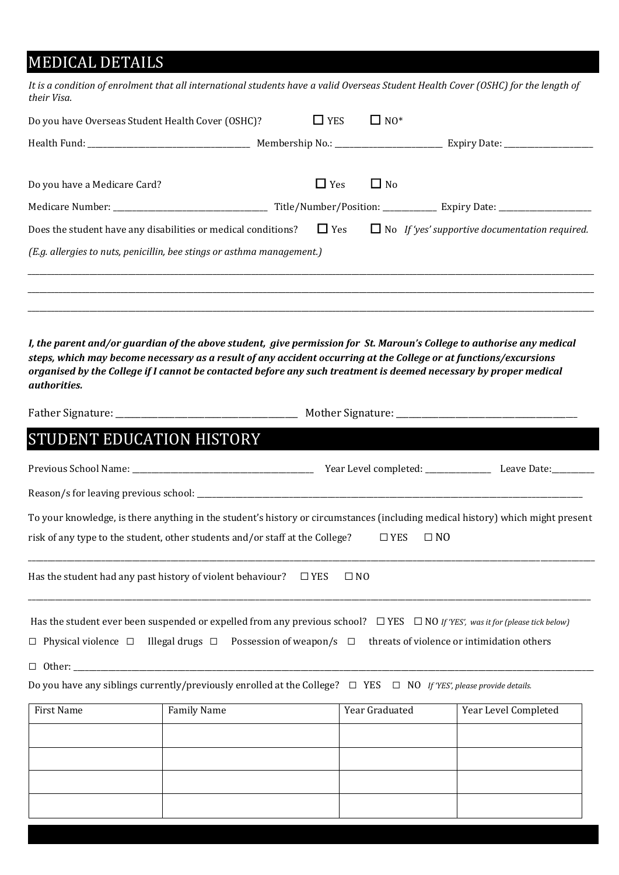### MEDICAL DETAILS

| their Visa.                                                                                                                                                                                                                                                                                      |                            |                        | It is a condition of enrolment that all international students have a valid Overseas Student Health Cover (OSHC) for the length of |
|--------------------------------------------------------------------------------------------------------------------------------------------------------------------------------------------------------------------------------------------------------------------------------------------------|----------------------------|------------------------|------------------------------------------------------------------------------------------------------------------------------------|
| Do you have Overseas Student Health Cover (OSHC)?                                                                                                                                                                                                                                                | $\Box$ YES                 | $\Box$ NO <sup>*</sup> |                                                                                                                                    |
|                                                                                                                                                                                                                                                                                                  |                            |                        |                                                                                                                                    |
| Do you have a Medicare Card?                                                                                                                                                                                                                                                                     | $\Box$ Yes                 | $\Box$ No              |                                                                                                                                    |
|                                                                                                                                                                                                                                                                                                  |                            |                        |                                                                                                                                    |
| Does the student have any disabilities or medical conditions?                                                                                                                                                                                                                                    | $\Box$ Yes                 |                        | $\Box$ No If 'yes' supportive documentation required.                                                                              |
| (E.g. allergies to nuts, penicillin, bee stings or asthma management.)                                                                                                                                                                                                                           |                            |                        |                                                                                                                                    |
| I, the parent and/or guardian of the above student, give permission for St. Maroun's College to authorise any medical<br>steps, which may become necessary as a result of any accident occurring at the College or at functions/excursions                                                       |                            |                        |                                                                                                                                    |
|                                                                                                                                                                                                                                                                                                  |                            |                        |                                                                                                                                    |
|                                                                                                                                                                                                                                                                                                  |                            |                        |                                                                                                                                    |
|                                                                                                                                                                                                                                                                                                  |                            |                        |                                                                                                                                    |
|                                                                                                                                                                                                                                                                                                  |                            |                        |                                                                                                                                    |
|                                                                                                                                                                                                                                                                                                  |                            |                        |                                                                                                                                    |
| organised by the College if I cannot be contacted before any such treatment is deemed necessary by proper medical<br>authorities.<br>STUDENT EDUCATION HISTORY<br>To your knowledge, is there anything in the student's history or circumstances (including medical history) which might present |                            |                        |                                                                                                                                    |
|                                                                                                                                                                                                                                                                                                  |                            |                        |                                                                                                                                    |
| risk of any type to the student, other students and/or staff at the College? $\Box$ YES $\Box$ NO<br>Has the student had any past history of violent behaviour?                                                                                                                                  | $\Box$ YES<br>$\square$ NO |                        |                                                                                                                                    |

☐ Physical violence ☐ Illegal drugs ☐ Possession of weapon/s ☐ threats of violence or intimidation others

☐ Other: \_\_\_\_\_\_\_\_\_\_\_\_\_\_\_\_\_\_\_\_\_\_\_\_\_\_\_\_\_\_\_\_\_\_\_\_\_\_\_\_\_\_\_\_\_\_\_\_\_\_\_\_\_\_\_\_\_\_\_\_\_\_\_\_\_\_\_\_\_\_\_\_\_\_\_\_\_\_\_\_\_\_\_\_\_\_\_\_\_\_\_\_\_\_\_\_\_\_\_\_\_\_\_\_\_\_\_\_\_\_\_\_\_\_\_\_\_\_\_\_\_\_\_\_\_\_\_\_\_\_\_\_\_\_\_

Do you have any siblings currently/previously enrolled at the College? ☐ YES ☐ NO *If 'YES', please provide details.*

| First Name | Family Name | Year Graduated | Year Level Completed |
|------------|-------------|----------------|----------------------|
|            |             |                |                      |
|            |             |                |                      |
|            |             |                |                      |
|            |             |                |                      |
|            |             |                |                      |
|            |             |                |                      |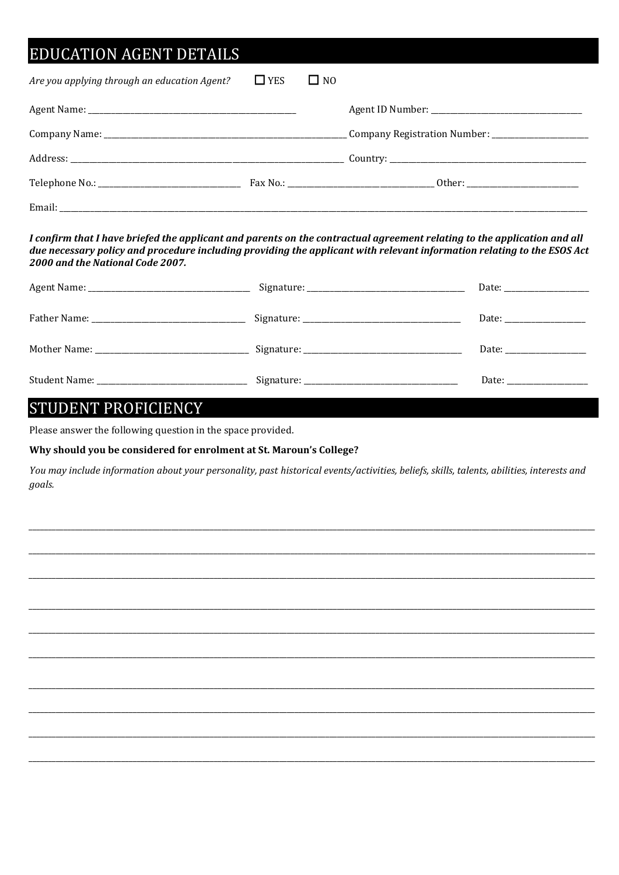## **EDUCATION AGENT DETAILS**

| Are you applying through an education Agent? | $\Box$ YES | $\square$ NO |  |
|----------------------------------------------|------------|--------------|--|
|                                              |            |              |  |
|                                              |            |              |  |
|                                              |            |              |  |
|                                              |            |              |  |
|                                              |            |              |  |

I confirm that I have briefed the applicant and parents on the contractual agreement relating to the application and all due necessary policy and procedure including providing the applicant with relevant information relating to the ESOS Act 2000 and the National Code 2007.

|  | Date: the contract of the contract of the contract of the contract of the contract of the contract of the contract of the contract of the contract of the contract of the contract of the contract of the contract of the cont |
|--|--------------------------------------------------------------------------------------------------------------------------------------------------------------------------------------------------------------------------------|
|  |                                                                                                                                                                                                                                |

### **STUDENT PROFICIENCY**

Please answer the following question in the space provided.

#### Why should you be considered for enrolment at St. Maroun's College?

You may include information about your personality, past historical events/activities, beliefs, skills, talents, abilities, interests and aoals.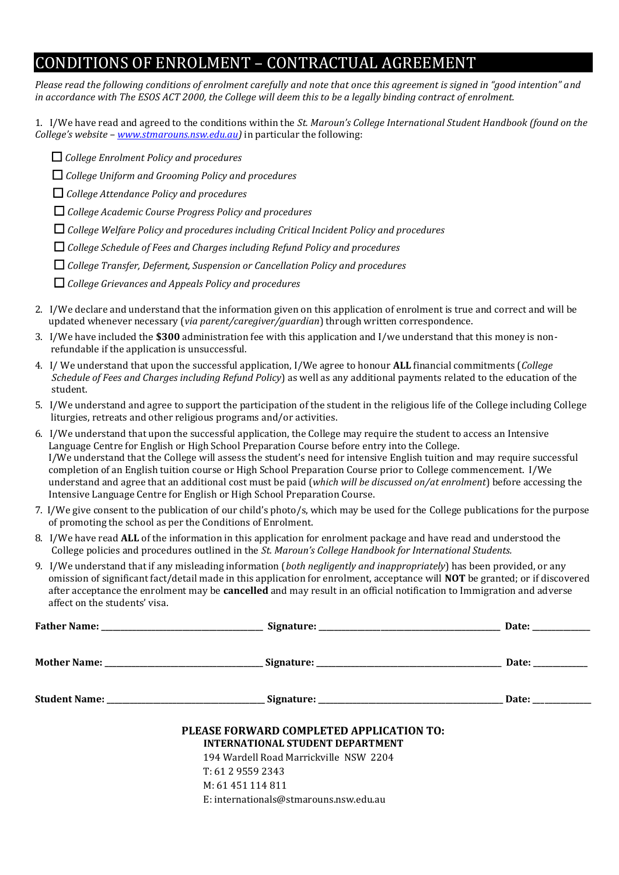### CONDITIONS OF ENROLMENT – CONTRACTUAL AGREEMENT

*Please read the following conditions of enrolment carefully and note that once this agreement is signed in "good intention" and in accordance with The ESOS ACT 2000, the College will deem this to be a legally binding contract of enrolment.*

1. I/We have read and agreed to the conditions within the *St. Maroun's College International Student Handbook (found on the College's website – [www.stmarouns.nsw.edu.au\)](http://www.stmarouns.nsw.edu.au/)* in particular the following:

- ☐ *College Enrolment Policy and procedures*
- ☐ *College Uniform and Grooming Policy and procedures*
- ☐ *College Attendance Policy and procedures*
- ☐ *College Academic Course Progress Policy and procedures*
- ☐ *College Welfare Policy and procedures including Critical Incident Policy and procedures*
- ☐ *College Schedule of Fees and Charges including Refund Policy and procedures*
- ☐ *College Transfer, Deferment, Suspension or Cancellation Policy and procedures*
- ☐ *College Grievances and Appeals Policy and procedures*
- 2. I/We declare and understand that the information given on this application of enrolment is true and correct and will be updated whenever necessary (*via parent/caregiver/guardian*) through written correspondence.
- 3. I/We have included the **\$300** administration fee with this application and I/we understand that this money is non refundable if the application is unsuccessful.
- 4. I/ We understand that upon the successful application, I/We agree to honour **ALL** financial commitments (*College Schedule of Fees and Charges including Refund Policy*) as well as any additional payments related to the education of the student.
- 5. I/We understand and agree to support the participation of the student in the religious life of the College including College liturgies, retreats and other religious programs and/or activities.
- 6. I/We understand that upon the successful application, the College may require the student to access an Intensive Language Centre for English or High School Preparation Course before entry into the College. I/We understand that the College will assess the student's need for intensive English tuition and may require successful completion of an English tuition course or High School Preparation Course prior to College commencement. I/We understand and agree that an additional cost must be paid (*which will be discussed on/at enrolment*) before accessing the Intensive Language Centre for English or High School Preparation Course.
- 7. I/We give consent to the publication of our child's photo/s, which may be used for the College publications for the purpose of promoting the school as per the Conditions of Enrolment.
- 8. I/We have read **ALL** of the information in this application for enrolment package and have read and understood the College policies and procedures outlined in the *St. Maroun's College Handbook for International Students.*
- 9. I/We understand that if any misleading information (*both negligently and inappropriately*) has been provided, or any omission of significant fact/detail made in this application for enrolment, acceptance will **NOT** be granted; or if discovered after acceptance the enrolment may be **cancelled** and may result in an official notification to Immigration and adverse affect on the students' visa.

| PLEASE FORWARD COMPLETED APPLICATION TO:<br><b>INTERNATIONAL STUDENT DEPARTMENT</b> |  |
|-------------------------------------------------------------------------------------|--|
| 194 Wardell Road Marrickville NSW 2204                                              |  |
| T: 61295592343                                                                      |  |
| M: 61 451 114 811                                                                   |  |
| E: internationals@stmarouns.nsw.edu.au                                              |  |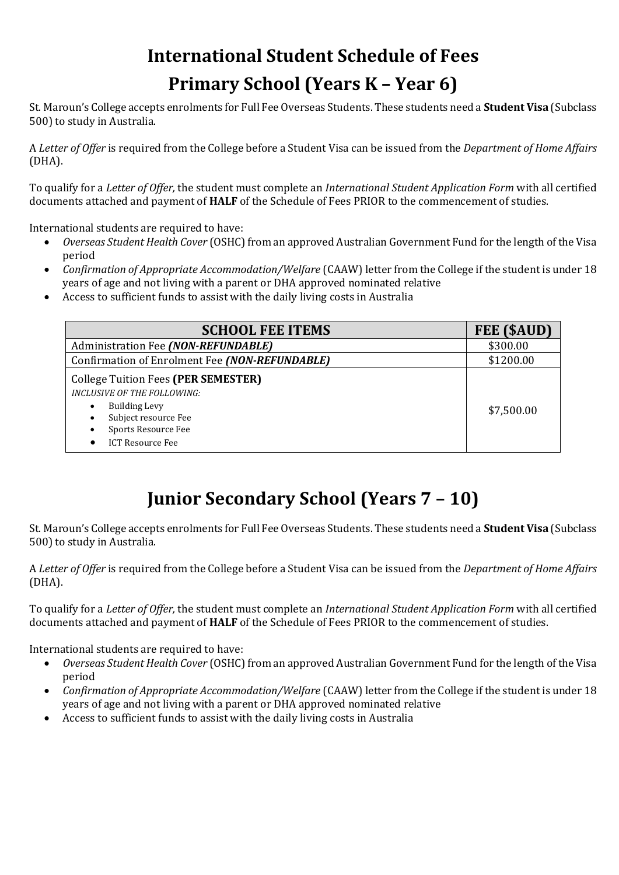# **International Student Schedule of Fees Primary School (Years K – Year 6)**

St. Maroun's College accepts enrolments for Full Fee Overseas Students. These students need a **Student Visa** (Subclass 500) to study in Australia.

A *Letter of Offer* is required from the College before a Student Visa can be issued from the *Department of Home Affairs* (DHA).

To qualify for a *Letter of Offer,* the student must complete an *International Student Application Form* with all certified documents attached and payment of **HALF** of the Schedule of Fees PRIOR to the commencement of studies.

International students are required to have:

- *Overseas Student Health Cover* (OSHC) from an approved Australian Government Fund for the length of the Visa period
- *Confirmation of Appropriate Accommodation/Welfare* (CAAW) letter from the College if the student is under 18 years of age and not living with a parent or DHA approved nominated relative
- Access to sufficient funds to assist with the daily living costs in Australia

| <b>SCHOOL FEE ITEMS</b>                                                                                                                                                            | FEE (\$AUD) |
|------------------------------------------------------------------------------------------------------------------------------------------------------------------------------------|-------------|
| Administration Fee (NON-REFUNDABLE)                                                                                                                                                | \$300.00    |
| Confirmation of Enrolment Fee (NON-REFUNDABLE)                                                                                                                                     | \$1200.00   |
| <b>College Tuition Fees (PER SEMESTER)</b><br><b>INCLUSIVE OF THE FOLLOWING:</b><br><b>Building Levy</b><br>Subject resource Fee<br>Sports Resource Fee<br><b>ICT Resource Fee</b> | \$7,500.00  |

## **Junior Secondary School (Years 7 – 10)**

St. Maroun's College accepts enrolments for Full Fee Overseas Students. These students need a **Student Visa** (Subclass 500) to study in Australia.

A *Letter of Offer* is required from the College before a Student Visa can be issued from the *Department of Home Affairs* (DHA).

To qualify for a *Letter of Offer,* the student must complete an *International Student Application Form* with all certified documents attached and payment of **HALF** of the Schedule of Fees PRIOR to the commencement of studies.

International students are required to have:

- *Overseas Student Health Cover* (OSHC) from an approved Australian Government Fund for the length of the Visa period
- *Confirmation of Appropriate Accommodation/Welfare* (CAAW) letter from the College if the student is under 18 years of age and not living with a parent or DHA approved nominated relative
- Access to sufficient funds to assist with the daily living costs in Australia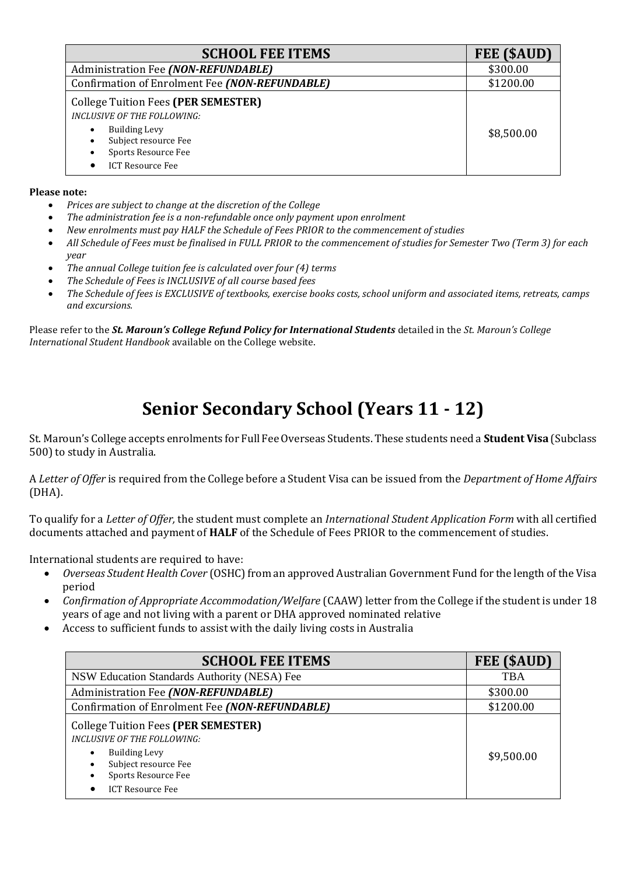| <b>SCHOOL FEE ITEMS</b>                                                                                                                                                                                      | FEE (\$AUD) |
|--------------------------------------------------------------------------------------------------------------------------------------------------------------------------------------------------------------|-------------|
| Administration Fee (NON-REFUNDABLE)                                                                                                                                                                          | \$300.00    |
| Confirmation of Enrolment Fee (NON-REFUNDABLE)                                                                                                                                                               | \$1200.00   |
| <b>College Tuition Fees (PER SEMESTER)</b><br><b>INCLUSIVE OF THE FOLLOWING:</b><br><b>Building Levy</b><br>$\bullet$<br>Subject resource Fee<br>$\bullet$<br>Sports Resource Fee<br><b>ICT Resource Fee</b> | \$8,500.00  |

#### **Please note:**

- *Prices are subject to change at the discretion of the College*
- *The administration fee is a non-refundable once only payment upon enrolment*
- *New enrolments must pay HALF the Schedule of Fees PRIOR to the commencement of studies*
- *All Schedule of Fees must be finalised in FULL PRIOR to the commencement of studies for Semester Two (Term 3) for each year*
- *The annual College tuition fee is calculated over four (4) terms*
- *The Schedule of Fees is INCLUSIVE of all course based fees*
- *The Schedule of fees is EXCLUSIVE of textbooks, exercise books costs, school uniform and associated items, retreats, camps and excursions.*

Please refer to the *St. Maroun's College Refund Policy for International Students* detailed in the *St. Maroun's College International Student Handbook* available on the College website.

## **Senior Secondary School (Years 11 - 12)**

St. Maroun's College accepts enrolments for Full Fee Overseas Students. These students need a **Student Visa** (Subclass 500) to study in Australia.

A *Letter of Offer* is required from the College before a Student Visa can be issued from the *Department of Home Affairs* (DHA).

To qualify for a *Letter of Offer,* the student must complete an *International Student Application Form* with all certified documents attached and payment of **HALF** of the Schedule of Fees PRIOR to the commencement of studies.

International students are required to have:

- *Overseas Student Health Cover* (OSHC) from an approved Australian Government Fund for the length of the Visa period
- *Confirmation of Appropriate Accommodation/Welfare* (CAAW) letter from the College if the student is under 18 years of age and not living with a parent or DHA approved nominated relative
- Access to sufficient funds to assist with the daily living costs in Australia

| <b>SCHOOL FEE ITEMS</b>                                                                                     | FEE (\$AUD) |
|-------------------------------------------------------------------------------------------------------------|-------------|
| NSW Education Standards Authority (NESA) Fee                                                                | <b>TBA</b>  |
| Administration Fee (NON-REFUNDABLE)                                                                         | \$300.00    |
| Confirmation of Enrolment Fee (NON-REFUNDABLE)                                                              | \$1200.00   |
| College Tuition Fees (PER SEMESTER)<br><b>INCLUSIVE OF THE FOLLOWING:</b>                                   |             |
| <b>Building Levy</b><br>$\bullet$<br>Subject resource Fee<br>Sports Resource Fee<br><b>ICT Resource Fee</b> | \$9,500.00  |